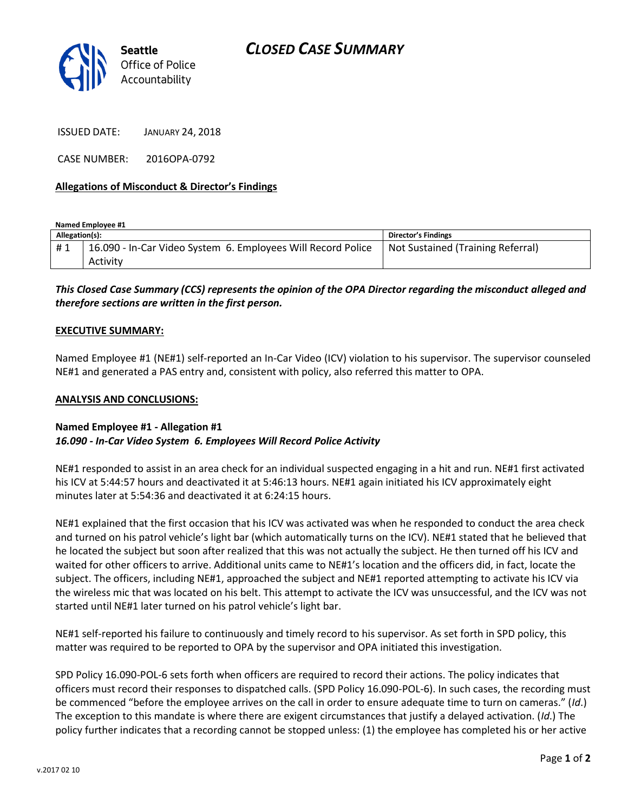

ISSUED DATE: JANUARY 24, 2018

CASE NUMBER: 2016OPA-0792

### **Allegations of Misconduct & Director's Findings**

**Named Employee #1 Allegation(s): Director's Findings** # 1 | 16.090 - In-Car Video System 6. Employees Will Record Police Activity Not Sustained (Training Referral)

## *This Closed Case Summary (CCS) represents the opinion of the OPA Director regarding the misconduct alleged and therefore sections are written in the first person.*

#### **EXECUTIVE SUMMARY:**

Named Employee #1 (NE#1) self-reported an In-Car Video (ICV) violation to his supervisor. The supervisor counseled NE#1 and generated a PAS entry and, consistent with policy, also referred this matter to OPA.

#### **ANALYSIS AND CONCLUSIONS:**

#### **Named Employee #1 - Allegation #1** *16.090 - In-Car Video System 6. Employees Will Record Police Activity*

NE#1 responded to assist in an area check for an individual suspected engaging in a hit and run. NE#1 first activated his ICV at 5:44:57 hours and deactivated it at 5:46:13 hours. NE#1 again initiated his ICV approximately eight minutes later at 5:54:36 and deactivated it at 6:24:15 hours.

NE#1 explained that the first occasion that his ICV was activated was when he responded to conduct the area check and turned on his patrol vehicle's light bar (which automatically turns on the ICV). NE#1 stated that he believed that he located the subject but soon after realized that this was not actually the subject. He then turned off his ICV and waited for other officers to arrive. Additional units came to NE#1's location and the officers did, in fact, locate the subject. The officers, including NE#1, approached the subject and NE#1 reported attempting to activate his ICV via the wireless mic that was located on his belt. This attempt to activate the ICV was unsuccessful, and the ICV was not started until NE#1 later turned on his patrol vehicle's light bar.

NE#1 self-reported his failure to continuously and timely record to his supervisor. As set forth in SPD policy, this matter was required to be reported to OPA by the supervisor and OPA initiated this investigation.

SPD Policy 16.090-POL-6 sets forth when officers are required to record their actions. The policy indicates that officers must record their responses to dispatched calls. (SPD Policy 16.090-POL-6). In such cases, the recording must be commenced "before the employee arrives on the call in order to ensure adequate time to turn on cameras." (*Id*.) The exception to this mandate is where there are exigent circumstances that justify a delayed activation. (*Id*.) The policy further indicates that a recording cannot be stopped unless: (1) the employee has completed his or her active